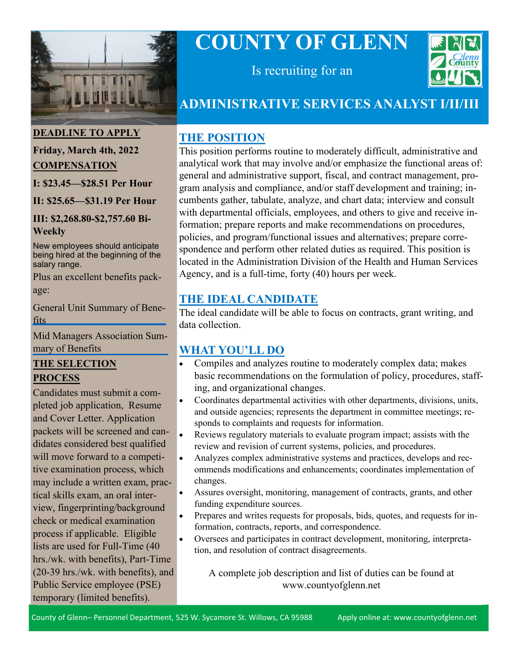

# **COUNTY OF GLENN**



Is recruiting for an

## **ADMINISTRATIVE SERVICES ANALYST I/II/III**

## **THE POSITION**

This position performs routine to moderately difficult, administrative and analytical work that may involve and/or emphasize the functional areas of: general and administrative support, fiscal, and contract management, program analysis and compliance, and/or staff development and training; incumbents gather, tabulate, analyze, and chart data; interview and consult with departmental officials, employees, and others to give and receive information; prepare reports and make recommendations on procedures, policies, and program/functional issues and alternatives; prepare correspondence and perform other related duties as required. This position is located in the Administration Division of the Health and Human Services Agency, and is a full-time, forty (40) hours per week.

## **THE IDEAL CANDIDATE**

The ideal candidate will be able to focus on contracts, grant writing, and data collection.

## **WHAT YOU'LL DO**

- Compiles and analyzes routine to moderately complex data; makes basic recommendations on the formulation of policy, procedures, staffing, and organizational changes.
- Coordinates departmental activities with other departments, divisions, units, and outside agencies; represents the department in committee meetings; responds to complaints and requests for information.
- Reviews regulatory materials to evaluate program impact; assists with the review and revision of current systems, policies, and procedures.
- Analyzes complex administrative systems and practices, develops and recommends modifications and enhancements; coordinates implementation of changes.
- Assures oversight, monitoring, management of contracts, grants, and other funding expenditure sources.
- Prepares and writes requests for proposals, bids, quotes, and requests for information, contracts, reports, and correspondence.
- Oversees and participates in contract development, monitoring, interpretation, and resolution of contract disagreements.

A complete job description and list of duties can be found at www.countyofglenn.net

#### County of Glenn– Personnel Department, 525 W. Sycamore St. Willows, CA 95988 Apply online at: www.countyofglenn.net

**DEADLINE TO APPLY**

#### **Friday, March 4th, 2022 COMPENSATION**

**I: \$23.45—\$28.51 Per Hour**

**II: \$25.65—\$31.19 Per Hour**

#### **III: \$2,268.80-\$2,757.60 Bi-Weekly**

New employees should anticipate being hired at the beginning of the salary range.

Plus an excellent benefits package:

[General Unit Summary of Bene](https://www.countyofglenn.net/sites/default/files/Personnel/MOU/GCPERL%2014-GU%20Sum%20of%20Benefits%2020110701_0.pdf)fits

[Mid Managers Association Sum](https://www.countyofglenn.net/sites/default/files/Personnel/MOU/GCPERL%2017-GCMMA%20Sum%20of%20Benefits%2020110701_0.pdf)mary of Benefits

#### **THE SELECTION PROCESS**

Candidates must submit a completed job application, Resume and Cover Letter. Application packets will be screened and candidates considered best qualified will move forward to a competitive examination process, which may include a written exam, practical skills exam, an oral interview, fingerprinting/background check or medical examination process if applicable. Eligible lists are used for Full-Time (40 hrs./wk. with benefits), Part-Time (20-39 hrs./wk. with benefits), and Public Service employee (PSE) temporary (limited benefits).